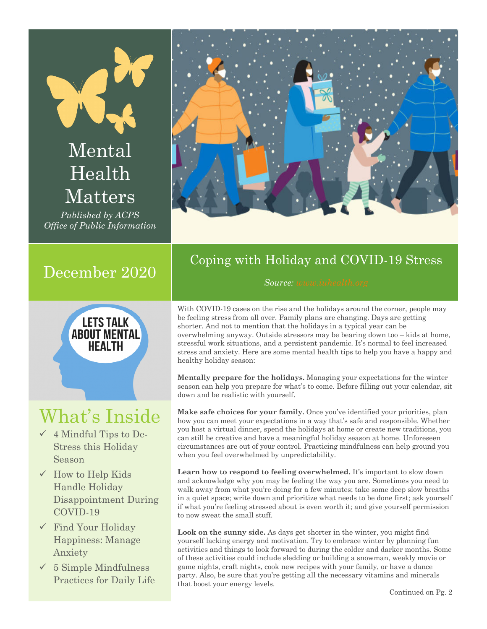# Mental Health Matters

*Published by ACPS Office of Public Information*



# December 2020



# What's Inside

- $\checkmark$  4 Mindful Tips to De-Stress this Holiday Season
- $\checkmark$  How to Help Kids Handle Holiday Disappointment During COVID-19
- $\checkmark$  Find Your Holiday Happiness: Manage Anxiety
- $\checkmark$  5 Simple Mindfulness Practices for Daily Life

## Coping with Holiday and COVID-19 Stress

#### *Source: www.iuhealth.org*

With COVID-19 cases on the rise and the holidays around the corner, people may be feeling stress from all over. Family plans are changing. Days are getting shorter. And not to mention that the holidays in a typical year can be overwhelming anyway. Outside stressors may be bearing down too – kids at home, stressful work situations, and a persistent pandemic. It's normal to feel increased stress and anxiety. Here are some mental health tips to help you have a happy and healthy holiday season:

**Mentally prepare for the holidays.** Managing your expectations for the winter season can help you prepare for what's to come. Before filling out your calendar, sit down and be realistic with yourself.

**Make safe choices for your family.** Once you've identified your priorities, plan how you can meet your expectations in a way that's safe and responsible. Whether you host a virtual dinner, spend the holidays at home or create new traditions, you can still be creative and have a meaningful holiday season at home. Unforeseen circumstances are out of your control. Practicing mindfulness can help ground you when you feel overwhelmed by unpredictability.

Learn how to respond to feeling overwhelmed. It's important to slow down and acknowledge why you may be feeling the way you are. Sometimes you need to walk away from what you're doing for a few minutes; take some deep slow breaths in a quiet space; write down and prioritize what needs to be done first; ask yourself if what you're feeling stressed about is even worth it; and give yourself permission to now sweat the small stuff.

**Look on the sunny side.** As days get shorter in the winter, you might find yourself lacking energy and motivation. Try to embrace winter by planning fun activities and things to look forward to during the colder and darker months. Some of these activities could include sledding or building a snowman, weekly movie or game nights, craft nights, cook new recipes with your family, or have a dance party. Also, be sure that you're getting all the necessary vitamins and minerals that boost your energy levels.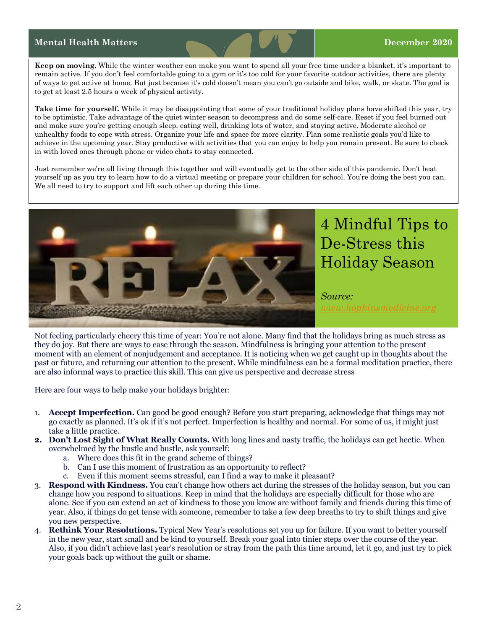#### **Mental Health Matters December 2020**

**Keep on moving.** While the winter weather can make you want to spend all your free time under a blanket, it's important to remain active. If you don't feel comfortable going to a gym or it's too cold for your favorite outdoor activities, there are plenty of ways to get active at home. But just because it's cold doesn't mean you can't go outside and bike, walk, or skate. The goal is to get at least 2.5 hours a week of physical activity.

**Take time for yourself.** While it may be disappointing that some of your traditional holiday plans have shifted this year, try to be optimistic. Take advantage of the quiet winter season to decompress and do some self-care. Reset if you feel burned out and make sure you're getting enough sleep, eating well, drinking lots of water, and staying active. Moderate alcohol or unhealthy foods to cope with stress. Organize your life and space for more clarity. Plan some realistic goals you'd like to achieve in the upcoming year. Stay productive with activities that you can enjoy to help you remain present. Be sure to check in with loved ones through phone or video chats to stay connected.

Just remember we're all living through this together and will eventually get to the other side of this pandemic. Don't beat yourself up as you try to learn how to do a virtual meeting or prepare your children for school. You're doing the best you can. We all need to try to support and lift each other up during this time.



Not feeling particularly cheery this time of year: You're not alone. Many find that the holidays bring as much stress as they do joy. But there are ways to ease through the season. Mindfulness is bringing your attention to the present moment with an element of nonjudgement and acceptance. It is noticing when we get caught up in thoughts about the past or future, and returning our attention to the present. While mindfulness can be a formal meditation practice, there are also informal ways to practice this skill. This can give us perspective and decrease stress

Here are four ways to help make your holidays brighter:

- 1. **Accept Imperfection.** Can good be good enough? Before you start preparing, acknowledge that things may not go exactly as planned. It's ok if it's not perfect. Imperfection is healthy and normal. For some of us, it might just take a little practice.
- **2. Don't Lost Sight of What Really Counts.** With long lines and nasty traffic, the holidays can get hectic. When overwhelmed by the hustle and bustle, ask yourself:
	- a. Where does this fit in the grand scheme of things?
	- b. Can I use this moment of frustration as an opportunity to reflect?
	- c. Even if this moment seems stressful, can I find a way to make it pleasant?
- 3. **Respond with Kindness.** You can't change how others act during the stresses of the holiday season, but you can change how you respond to situations. Keep in mind that the holidays are especially difficult for those who are alone. See if you can extend an act of kindness to those you know are without family and friends during this time of year. Also, if things do get tense with someone, remember to take a few deep breaths to try to shift things and give you new perspective.
- 4. **Rethink Your Resolutions.** Typical New Year's resolutions set you up for failure. If you want to better yourself in the new year, start small and be kind to yourself. Break your goal into tinier steps over the course of the year. Also, if you didn't achieve last year's resolution or stray from the path this time around, let it go, and just try to pick your goals back up without the guilt or shame.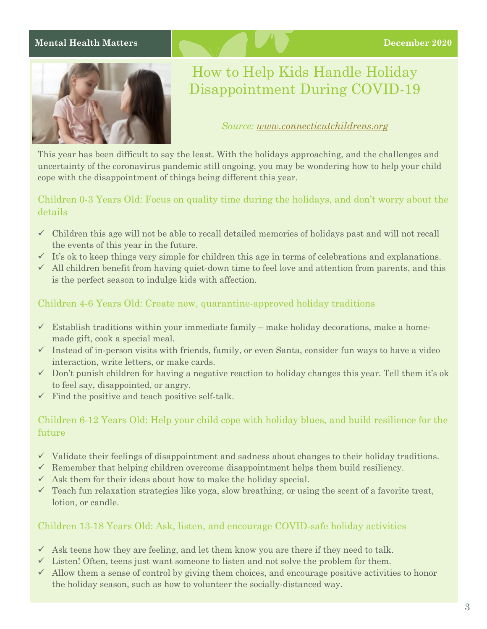#### **Mental Health Matters December 2020**



## How to Help Kids Handle Holiday Disappointment During COVID-19

*Source: www.connecticutchildrens.org*

This year has been difficult to say the least. With the holidays approaching, and the challenges and uncertainty of the coronavirus pandemic still ongoing, you may be wondering how to help your child cope with the disappointment of things being different this year.

#### Children 0-3 Years Old: Focus on quality time during the holidays, and don't worry about the details

- $\checkmark$  Children this age will not be able to recall detailed memories of holidays past and will not recall the events of this year in the future.
- $\checkmark$  It's ok to keep things very simple for children this age in terms of celebrations and explanations.
- $\checkmark$  All children benefit from having quiet-down time to feel love and attention from parents, and this is the perfect season to indulge kids with affection.

### Children 4-6 Years Old: Create new, quarantine-approved holiday traditions

- $\checkmark$  Establish traditions within your immediate family make holiday decorations, make a homemade gift, cook a special meal.
- $\checkmark$  Instead of in-person visits with friends, family, or even Santa, consider fun ways to have a video interaction, write letters, or make cards.
- $\checkmark$  Don't punish children for having a negative reaction to holiday changes this year. Tell them it's ok to feel say, disappointed, or angry.
- $\checkmark$  Find the positive and teach positive self-talk.

### Children 6-12 Years Old: Help your child cope with holiday blues, and build resilience for the future

- $\checkmark$  Validate their feelings of disappointment and sadness about changes to their holiday traditions.
- $\checkmark$  Remember that helping children overcome disappointment helps them build resiliency.
- $\checkmark$  Ask them for their ideas about how to make the holiday special.
- $\checkmark$  Teach fun relaxation strategies like yoga, slow breathing, or using the scent of a favorite treat, lotion, or candle.

#### Children 13-18 Years Old: Ask, listen, and encourage COVID-safe holiday activities

- $\checkmark$  Ask teens how they are feeling, and let them know you are there if they need to talk.
- $\checkmark$  Listen! Often, teens just want someone to listen and not solve the problem for them.
- $\checkmark$  Allow them a sense of control by giving them choices, and encourage positive activities to honor the holiday season, such as how to volunteer the socially-distanced way.